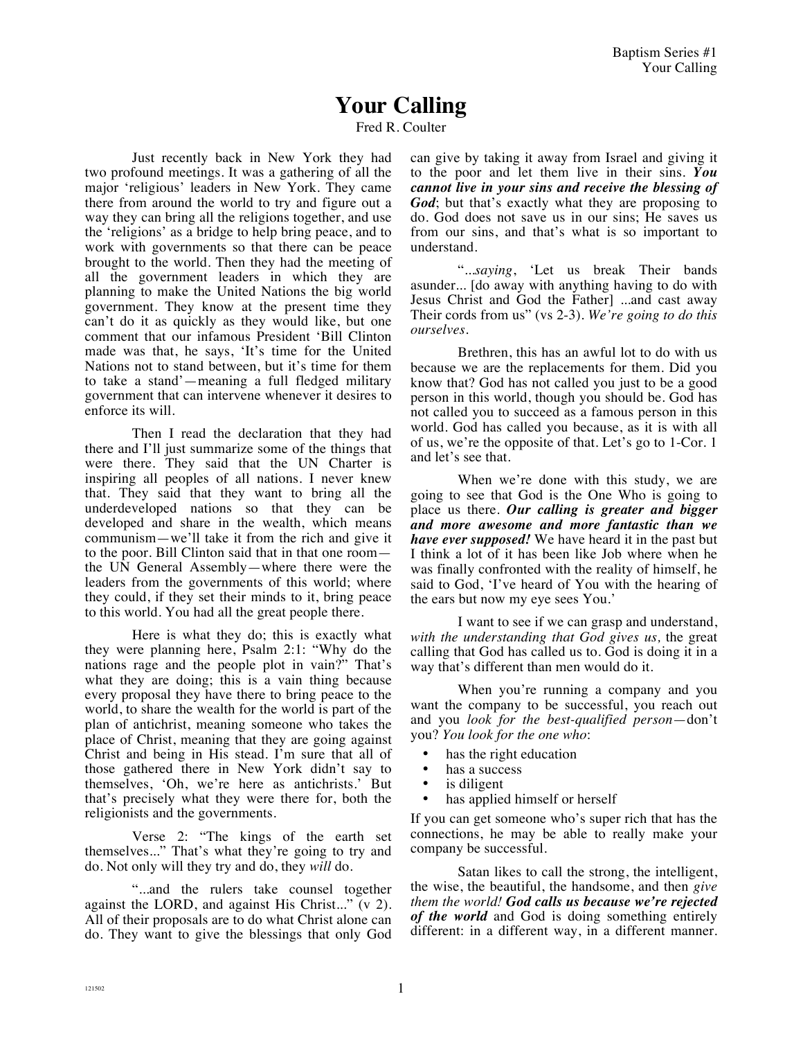## **Your Calling**

Fred R. Coulter

Just recently back in New York they had two profound meetings. It was a gathering of all the major 'religious' leaders in New York. They came there from around the world to try and figure out a way they can bring all the religions together, and use the 'religions' as a bridge to help bring peace, and to work with governments so that there can be peace brought to the world. Then they had the meeting of all the government leaders in which they are planning to make the United Nations the big world government. They know at the present time they can't do it as quickly as they would like, but one comment that our infamous President 'Bill Clinton made was that, he says, 'It's time for the United Nations not to stand between, but it's time for them to take a stand'—meaning a full fledged military government that can intervene whenever it desires to enforce its will.

Then I read the declaration that they had there and I'll just summarize some of the things that were there. They said that the UN Charter is inspiring all peoples of all nations. I never knew that. They said that they want to bring all the underdeveloped nations so that they can be developed and share in the wealth, which means communism—we'll take it from the rich and give it to the poor. Bill Clinton said that in that one room the UN General Assembly—where there were the leaders from the governments of this world; where they could, if they set their minds to it, bring peace to this world. You had all the great people there.

Here is what they do; this is exactly what they were planning here, Psalm 2:1: "Why do the nations rage and the people plot in vain?" That's what they are doing; this is a vain thing because every proposal they have there to bring peace to the world, to share the wealth for the world is part of the plan of antichrist, meaning someone who takes the place of Christ, meaning that they are going against Christ and being in His stead. I'm sure that all of those gathered there in New York didn't say to themselves, 'Oh, we're here as antichrists.' But that's precisely what they were there for, both the religionists and the governments.

Verse 2: "The kings of the earth set themselves..." That's what they're going to try and do. Not only will they try and do, they *will* do.

"...and the rulers take counsel together against the LORD, and against His Christ..." (v 2). All of their proposals are to do what Christ alone can do. They want to give the blessings that only God can give by taking it away from Israel and giving it to the poor and let them live in their sins. *You cannot live in your sins and receive the blessing of God*; but that's exactly what they are proposing to do. God does not save us in our sins; He saves us from our sins, and that's what is so important to understand.

"...*saying*, 'Let us break Their bands asunder... [do away with anything having to do with Jesus Christ and God the Father] ...and cast away Their cords from us" (vs 2-3). *We're going to do this ourselves.* 

Brethren, this has an awful lot to do with us because we are the replacements for them. Did you know that? God has not called you just to be a good person in this world, though you should be. God has not called you to succeed as a famous person in this world. God has called you because, as it is with all of us, we're the opposite of that. Let's go to 1-Cor. 1 and let's see that.

When we're done with this study, we are going to see that God is the One Who is going to place us there. *Our calling is greater and bigger and more awesome and more fantastic than we have ever supposed!* We have heard it in the past but I think a lot of it has been like Job where when he was finally confronted with the reality of himself, he said to God, 'I've heard of You with the hearing of the ears but now my eye sees You.'

I want to see if we can grasp and understand, *with the understanding that God gives us,* the great calling that God has called us to. God is doing it in a way that's different than men would do it.

When you're running a company and you want the company to be successful, you reach out and you *look for the best-qualified person*—don't you? *You look for the one who*:

- has the right education
- has a success
- is diligent
- has applied himself or herself

If you can get someone who's super rich that has the connections, he may be able to really make your company be successful.

Satan likes to call the strong, the intelligent, the wise, the beautiful, the handsome, and then *give them the world! God calls us because we're rejected of the world* and God is doing something entirely different: in a different way, in a different manner.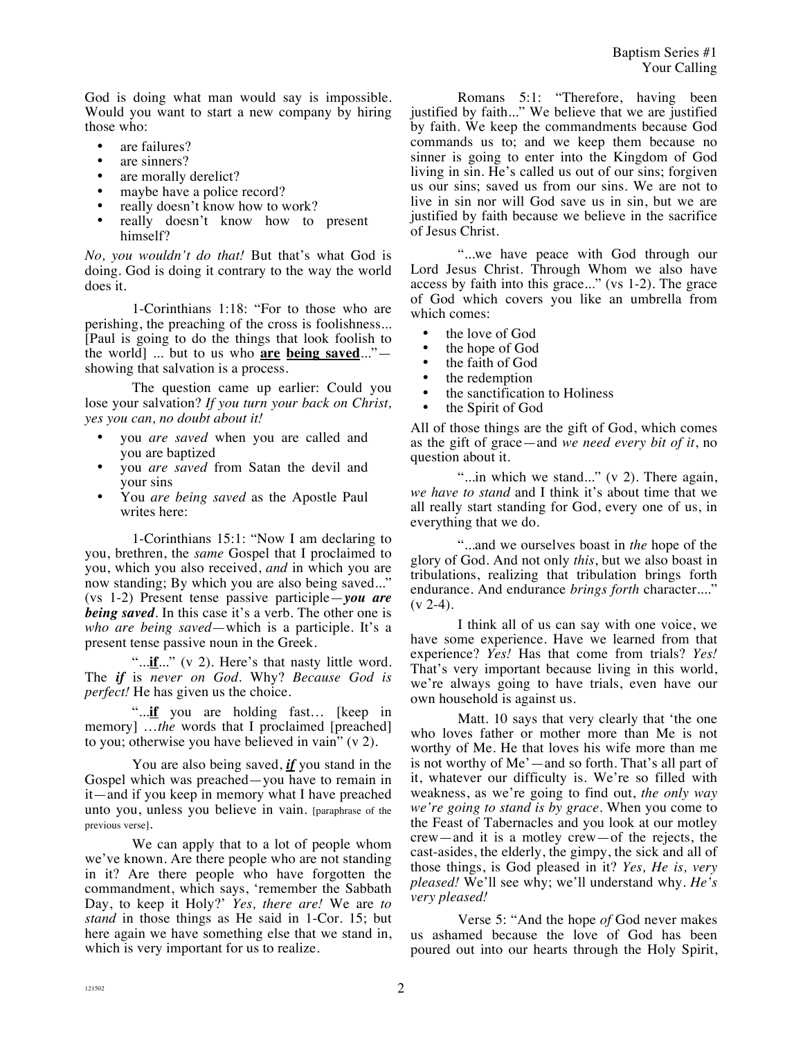God is doing what man would say is impossible. Would you want to start a new company by hiring those who:

- are failures?
- are sinners?
- are morally derelict?
- maybe have a police record?
- really doesn't know how to work?
- really doesn't know how to present himself?

*No, you wouldn't do that!* But that's what God is doing. God is doing it contrary to the way the world does it.

1-Corinthians 1:18: "For to those who are perishing, the preaching of the cross is foolishness... [Paul is going to do the things that look foolish to the world] ... but to us who **are being saved**..." showing that salvation is a process.

The question came up earlier: Could you lose your salvation? *If you turn your back on Christ, yes you can, no doubt about it!*

- you *are saved* when you are called and you are baptized
- you *are saved* from Satan the devil and your sins
- You *are being saved* as the Apostle Paul writes here:

1-Corinthians 15:1: "Now I am declaring to you, brethren, the *same* Gospel that I proclaimed to you, which you also received, *and* in which you are now standing; By which you are also being saved..." (vs 1-2) Present tense passive participle—*you are being saved.* In this case it's a verb. The other one is *who are being saved*—which is a participle. It's a present tense passive noun in the Greek.

"...**if**..." (v 2). Here's that nasty little word. The *if* is *never on God*. Why? *Because God is perfect!* He has given us the choice.

"...**if** you are holding fast… [keep in memory] …*the* words that I proclaimed [preached] to you; otherwise you have believed in vain" (v 2).

You are also being saved, *if* you stand in the Gospel which was preached—you have to remain in it—and if you keep in memory what I have preached unto you, unless you believe in vain. [paraphrase of the previous verse].

We can apply that to a lot of people whom we've known. Are there people who are not standing in it? Are there people who have forgotten the commandment, which says, 'remember the Sabbath Day, to keep it Holy?' *Yes, there are!* We are *to stand* in those things as He said in 1-Cor. 15; but here again we have something else that we stand in, which is very important for us to realize.

Romans 5:1: "Therefore, having been justified by faith..." We believe that we are justified by faith. We keep the commandments because God commands us to; and we keep them because no sinner is going to enter into the Kingdom of God living in sin. He's called us out of our sins; forgiven us our sins; saved us from our sins. We are not to live in sin nor will God save us in sin, but we are justified by faith because we believe in the sacrifice of Jesus Christ.

"...we have peace with God through our Lord Jesus Christ. Through Whom we also have access by faith into this grace..." (vs 1-2). The grace of God which covers you like an umbrella from which comes:

- the love of God
- the hope of God
- the faith of God
- the redemption
- the sanctification to Holiness<br>• the Spirit of God
- the Spirit of God

All of those things are the gift of God, which comes as the gift of grace—and *we need every bit of it*, no question about it.

"...in which we stand..." (v 2). There again, *we have to stand* and I think it's about time that we all really start standing for God, every one of us, in everything that we do.

"...and we ourselves boast in *the* hope of the glory of God. And not only *this*, but we also boast in tribulations, realizing that tribulation brings forth endurance. And endurance *brings forth* character...."  $(v 2-4)$ .

I think all of us can say with one voice, we have some experience. Have we learned from that experience? *Yes!* Has that come from trials? *Yes!* That's very important because living in this world, we're always going to have trials, even have our own household is against us.

Matt. 10 says that very clearly that 'the one who loves father or mother more than Me is not worthy of Me. He that loves his wife more than me is not worthy of Me'—and so forth. That's all part of it, whatever our difficulty is. We're so filled with weakness, as we're going to find out, *the only way we're going to stand is by grace.* When you come to the Feast of Tabernacles and you look at our motley crew—and it is a motley crew—of the rejects, the cast-asides, the elderly, the gimpy, the sick and all of those things, is God pleased in it? *Yes, He is, very pleased!* We'll see why; we'll understand why. *He's very pleased!*

Verse 5: "And the hope *of* God never makes us ashamed because the love of God has been poured out into our hearts through the Holy Spirit,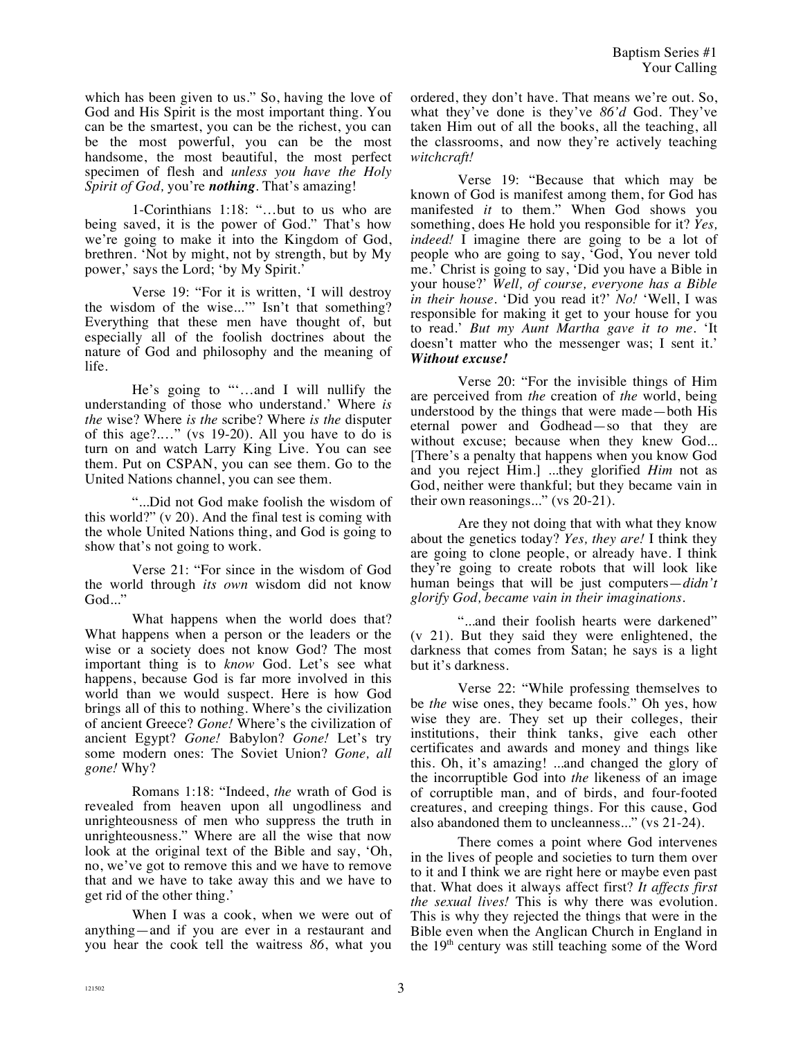which has been given to us." So, having the love of God and His Spirit is the most important thing. You can be the smartest, you can be the richest, you can be the most powerful, you can be the most handsome, the most beautiful, the most perfect specimen of flesh and *unless you have the Holy Spirit of God,* you're *nothing*. That's amazing!

1-Corinthians 1:18: "…but to us who are being saved, it is the power of God." That's how we're going to make it into the Kingdom of God, brethren. 'Not by might, not by strength, but by My power,' says the Lord; 'by My Spirit.'

Verse 19: "For it is written, 'I will destroy the wisdom of the wise...'" Isn't that something? Everything that these men have thought of, but especially all of the foolish doctrines about the nature of God and philosophy and the meaning of life.

He's going to "'…and I will nullify the understanding of those who understand.' Where *is the* wise? Where *is the* scribe? Where *is the* disputer of this age?.…" (vs 19-20). All you have to do is turn on and watch Larry King Live. You can see them. Put on CSPAN, you can see them. Go to the United Nations channel, you can see them.

"...Did not God make foolish the wisdom of this world?" (v 20). And the final test is coming with the whole United Nations thing, and God is going to show that's not going to work.

Verse 21: "For since in the wisdom of God the world through *its own* wisdom did not know God..."

What happens when the world does that? What happens when a person or the leaders or the wise or a society does not know God? The most important thing is to *know* God. Let's see what happens, because God is far more involved in this world than we would suspect. Here is how God brings all of this to nothing. Where's the civilization of ancient Greece? *Gone!* Where's the civilization of ancient Egypt? *Gone!* Babylon? *Gone!* Let's try some modern ones: The Soviet Union? *Gone, all gone!* Why?

Romans 1:18: "Indeed, *the* wrath of God is revealed from heaven upon all ungodliness and unrighteousness of men who suppress the truth in unrighteousness." Where are all the wise that now look at the original text of the Bible and say, 'Oh, no, we've got to remove this and we have to remove that and we have to take away this and we have to get rid of the other thing.'

When I was a cook, when we were out of anything—and if you are ever in a restaurant and you hear the cook tell the waitress *86*, what you ordered, they don't have. That means we're out. So, what they've done is they've *86'd* God. They've taken Him out of all the books, all the teaching, all the classrooms, and now they're actively teaching *witchcraft!* 

Verse 19: "Because that which may be known of God is manifest among them, for God has manifested *it* to them." When God shows you something, does He hold you responsible for it? *Yes, indeed!* I imagine there are going to be a lot of people who are going to say, 'God, You never told me.' Christ is going to say, 'Did you have a Bible in your house?' *Well, of course, everyone has a Bible in their house.* 'Did you read it?' *No!* 'Well, I was responsible for making it get to your house for you to read.' *But my Aunt Martha gave it to me.* 'It doesn't matter who the messenger was; I sent it.' *Without excuse!*

Verse 20: "For the invisible things of Him are perceived from *the* creation of *the* world, being understood by the things that were made—both His eternal power and Godhead—so that they are without excuse; because when they knew God... [There's a penalty that happens when you know God and you reject Him.] ...they glorified *Him* not as God, neither were thankful; but they became vain in their own reasonings..." (vs 20-21).

Are they not doing that with what they know about the genetics today? *Yes, they are!* I think they are going to clone people, or already have. I think they're going to create robots that will look like human beings that will be just computers—*didn't glorify God, became vain in their imaginations*.

"...and their foolish hearts were darkened" (v 21). But they said they were enlightened, the darkness that comes from Satan; he says is a light but it's darkness.

Verse 22: "While professing themselves to be *the* wise ones, they became fools." Oh yes, how wise they are. They set up their colleges, their institutions, their think tanks, give each other certificates and awards and money and things like this. Oh, it's amazing! ...and changed the glory of the incorruptible God into *the* likeness of an image of corruptible man, and of birds, and four-footed creatures, and creeping things. For this cause, God also abandoned them to uncleanness..." (vs 21-24).

There comes a point where God intervenes in the lives of people and societies to turn them over to it and I think we are right here or maybe even past that. What does it always affect first? *It affects first the sexual lives!* This is why there was evolution. This is why they rejected the things that were in the Bible even when the Anglican Church in England in the 19<sup>th</sup> century was still teaching some of the Word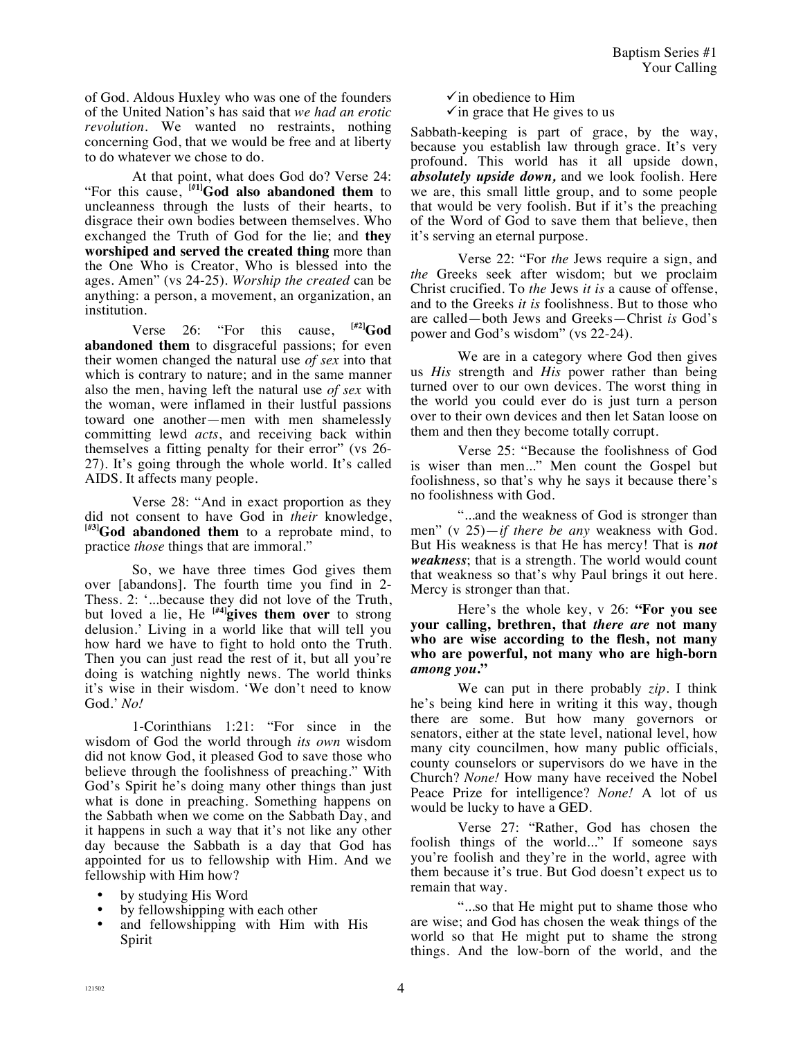of God. Aldous Huxley who was one of the founders of the United Nation's has said that *we had an erotic revolution.* We wanted no restraints, nothing concerning God, that we would be free and at liberty to do whatever we chose to do.

At that point, what does God do? Verse 24: "For this cause, **[#1]God also abandoned them** to uncleanness through the lusts of their hearts, to disgrace their own bodies between themselves. Who exchanged the Truth of God for the lie; and **they worshiped and served the created thing** more than the One Who is Creator, Who is blessed into the ages. Amen" (vs 24-25). *Worship the created* can be anything: a person, a movement, an organization, an institution.

Verse 26: "For this cause,  $|^{H2}|$ God **abandoned them** to disgraceful passions; for even their women changed the natural use *of sex* into that which is contrary to nature; and in the same manner also the men, having left the natural use *of sex* with the woman, were inflamed in their lustful passions toward one another—men with men shamelessly committing lewd *acts*, and receiving back within themselves a fitting penalty for their error" (vs 26- 27). It's going through the whole world. It's called AIDS. It affects many people.

Verse 28: "And in exact proportion as they did not consent to have God in *their* knowledge, **[#3]God abandoned them** to a reprobate mind, to practice *those* things that are immoral."

So, we have three times God gives them over [abandons]. The fourth time you find in 2- Thess. 2: '...because they did not love of the Truth, but loved a lie, He **[#4]gives them over** to strong delusion.' Living in a world like that will tell you how hard we have to fight to hold onto the Truth. Then you can just read the rest of it, but all you're doing is watching nightly news. The world thinks it's wise in their wisdom. 'We don't need to know God.' *No!*

1-Corinthians 1:21: "For since in the wisdom of God the world through *its own* wisdom did not know God, it pleased God to save those who believe through the foolishness of preaching." With God's Spirit he's doing many other things than just what is done in preaching. Something happens on the Sabbath when we come on the Sabbath Day, and it happens in such a way that it's not like any other day because the Sabbath is a day that God has appointed for us to fellowship with Him. And we fellowship with Him how?

- by studying His Word
- by fellowshipping with each other
- and fellowshipping with Him with His Spirit

 $\checkmark$  in obedience to Him

 $\checkmark$  in grace that He gives to us

Sabbath-keeping is part of grace, by the way, because you establish law through grace. It's very profound. This world has it all upside down, *absolutely upside down,* and we look foolish. Here we are, this small little group, and to some people that would be very foolish. But if it's the preaching of the Word of God to save them that believe, then it's serving an eternal purpose.

Verse 22: "For *the* Jews require a sign, and *the* Greeks seek after wisdom; but we proclaim Christ crucified. To *the* Jews *it is* a cause of offense, and to the Greeks *it is* foolishness. But to those who are called—both Jews and Greeks—Christ *is* God's power and God's wisdom" (vs 22-24).

We are in a category where God then gives us *His* strength and *His* power rather than being turned over to our own devices. The worst thing in the world you could ever do is just turn a person over to their own devices and then let Satan loose on them and then they become totally corrupt.

Verse 25: "Because the foolishness of God is wiser than men..." Men count the Gospel but foolishness, so that's why he says it because there's no foolishness with God.

"...and the weakness of God is stronger than men" (v 25)—*if there be any* weakness with God. But His weakness is that He has mercy! That is *not weakness*; that is a strength. The world would count that weakness so that's why Paul brings it out here. Mercy is stronger than that.

Here's the whole key, v 26: **"For you see your calling, brethren, that** *there are* **not many who are wise according to the flesh, not many who are powerful, not many who are high-born**  *among you***."**

We can put in there probably *zip*. I think he's being kind here in writing it this way, though there are some. But how many governors or senators, either at the state level, national level, how many city councilmen, how many public officials, county counselors or supervisors do we have in the Church? *None!* How many have received the Nobel Peace Prize for intelligence? *None!* A lot of us would be lucky to have a GED.

Verse 27: "Rather, God has chosen the foolish things of the world..." If someone says you're foolish and they're in the world, agree with them because it's true. But God doesn't expect us to remain that way.

"...so that He might put to shame those who are wise; and God has chosen the weak things of the world so that He might put to shame the strong things. And the low-born of the world, and the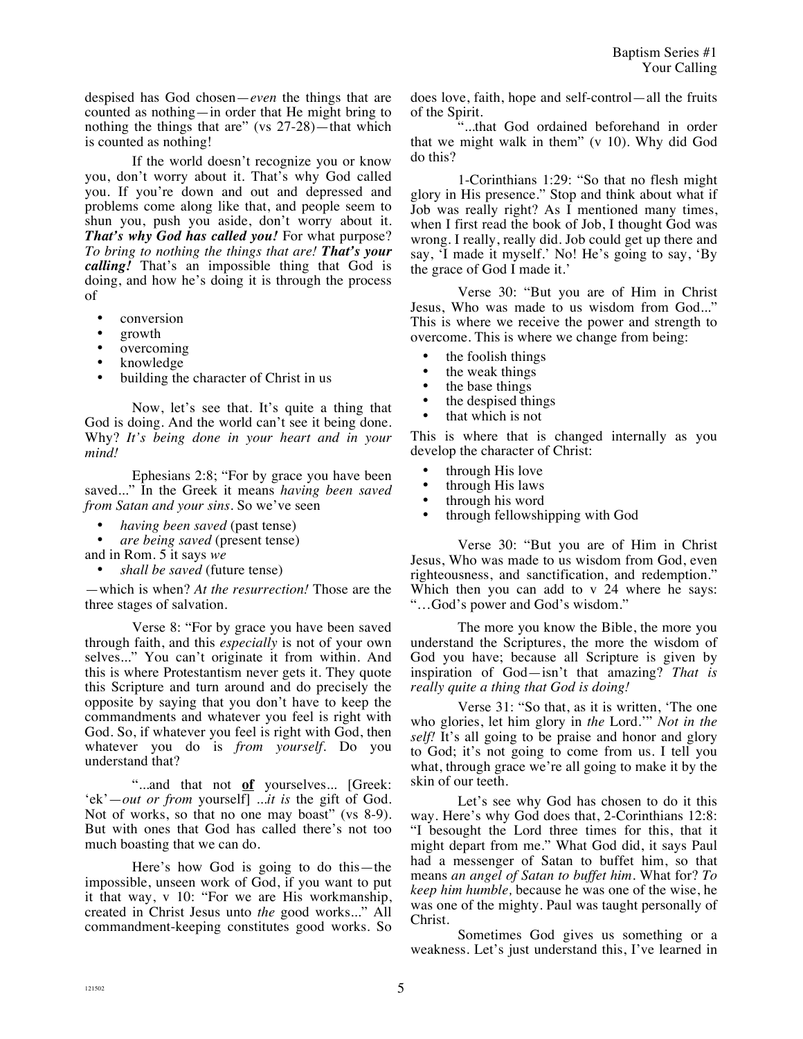despised has God chosen—*even* the things that are counted as nothing—in order that He might bring to nothing the things that are" (vs 27-28)—that which is counted as nothing!

If the world doesn't recognize you or know you, don't worry about it. That's why God called you. If you're down and out and depressed and problems come along like that, and people seem to shun you, push you aside, don't worry about it. *That's why God has called you!* For what purpose? *To bring to nothing the things that are! That's your calling!* That's an impossible thing that God is doing, and how he's doing it is through the process of

- conversion
- growth
- overcoming
- knowledge
- building the character of Christ in us

Now, let's see that. It's quite a thing that God is doing. And the world can't see it being done. Why? *It's being done in your heart and in your mind!*

Ephesians 2:8; "For by grace you have been saved..." In the Greek it means *having been saved from Satan and your sins.* So we've seen

- *having been saved* (past tense)
- *are being saved* (present tense)

and in Rom. 5 it says *we* 

• *shall be saved* (future tense)

—which is when? *At the resurrection!* Those are the three stages of salvation.

Verse 8: "For by grace you have been saved through faith, and this *especially* is not of your own selves..." You can't originate it from within. And this is where Protestantism never gets it. They quote this Scripture and turn around and do precisely the opposite by saying that you don't have to keep the commandments and whatever you feel is right with God. So, if whatever you feel is right with God, then whatever you do is *from yourself*. Do you understand that?

"...and that not **of** yourselves... [Greek: 'ek'—*out or from* yourself] ...*it is* the gift of God. Not of works, so that no one may boast" (vs 8-9). But with ones that God has called there's not too much boasting that we can do.

Here's how God is going to do this—the impossible, unseen work of God, if you want to put it that way, v 10: "For we are His workmanship, created in Christ Jesus unto *the* good works..." All commandment-keeping constitutes good works. So does love, faith, hope and self-control—all the fruits of the Spirit.

"...that God ordained beforehand in order that we might walk in them" (v 10). Why did God do this?

1-Corinthians 1:29: "So that no flesh might glory in His presence." Stop and think about what if Job was really right? As I mentioned many times, when I first read the book of Job, I thought God was wrong. I really, really did. Job could get up there and say, 'I made it myself.' No! He's going to say, 'By the grace of God I made it.'

Verse 30: "But you are of Him in Christ Jesus, Who was made to us wisdom from God..." This is where we receive the power and strength to overcome. This is where we change from being:

- the foolish things
- the weak things<br>• the base things
- the base things
- the despised things
- that which is not

This is where that is changed internally as you develop the character of Christ:

- through His love
- through His laws<br>• through his word
- through his word
- through fellowshipping with God

Verse 30: "But you are of Him in Christ Jesus, Who was made to us wisdom from God, even righteousness, and sanctification, and redemption." Which then you can add to v 24 where he says: "…God's power and God's wisdom."

The more you know the Bible, the more you understand the Scriptures, the more the wisdom of God you have; because all Scripture is given by inspiration of God—isn't that amazing? *That is really quite a thing that God is doing!*

Verse 31: "So that, as it is written, 'The one who glories, let him glory in *the* Lord.'" *Not in the self!* It's all going to be praise and honor and glory to God; it's not going to come from us. I tell you what, through grace we're all going to make it by the skin of our teeth.

Let's see why God has chosen to do it this way. Here's why God does that, 2-Corinthians 12:8: "I besought the Lord three times for this, that it might depart from me." What God did, it says Paul had a messenger of Satan to buffet him, so that means *an angel of Satan to buffet him.* What for? *To keep him humble,* because he was one of the wise, he was one of the mighty. Paul was taught personally of Christ.

Sometimes God gives us something or a weakness. Let's just understand this, I've learned in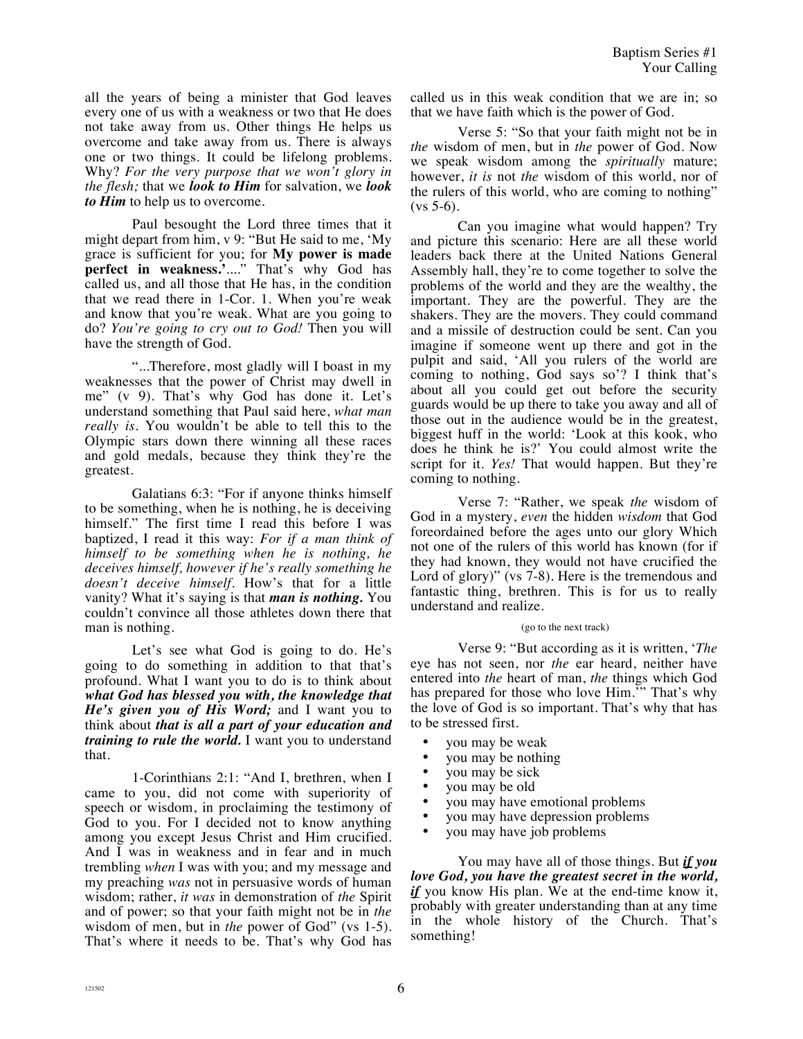all the years of being a minister that God leaves every one of us with a weakness or two that He does not take away from us. Other things He helps us overcome and take away from us. There is always one or two things. It could be lifelong problems. Why? *For the very purpose that we won't glory in the flesh;* that we *look to Him* for salvation, we *look to Him* to help us to overcome.

Paul besought the Lord three times that it might depart from him, v 9: "But He said to me, 'My grace is sufficient for you; for **My power is made perfect in weakness.'**...." That's why God has called us, and all those that He has, in the condition that we read there in 1-Cor. 1. When you're weak and know that you're weak. What are you going to do? *You're going to cry out to God!* Then you will have the strength of God.

"...Therefore, most gladly will I boast in my weaknesses that the power of Christ may dwell in me" (v 9). That's why God has done it. Let's understand something that Paul said here, *what man really is.* You wouldn't be able to tell this to the Olympic stars down there winning all these races and gold medals, because they think they're the greatest.

Galatians 6:3: "For if anyone thinks himself to be something, when he is nothing, he is deceiving himself." The first time I read this before I was baptized, I read it this way: *For if a man think of himself to be something when he is nothing, he deceives himself, however if he's really something he doesn't deceive himself.* How's that for a little vanity? What it's saying is that *man is nothing.* You couldn't convince all those athletes down there that man is nothing.

Let's see what God is going to do. He's going to do something in addition to that that's profound. What I want you to do is to think about *what God has blessed you with, the knowledge that He's given you of His Word;* and I want you to think about *that is all a part of your education and training to rule the world.* I want you to understand that.

1-Corinthians 2:1: "And I, brethren, when I came to you, did not come with superiority of speech or wisdom, in proclaiming the testimony of God to you. For I decided not to know anything among you except Jesus Christ and Him crucified. And I was in weakness and in fear and in much trembling *when* I was with you; and my message and my preaching *was* not in persuasive words of human wisdom; rather, *it was* in demonstration of *the* Spirit and of power; so that your faith might not be in *the*  wisdom of men, but in *the* power of God" (vs 1-5). That's where it needs to be. That's why God has called us in this weak condition that we are in; so that we have faith which is the power of God.

Verse 5: "So that your faith might not be in *the* wisdom of men, but in *the* power of God. Now we speak wisdom among the *spiritually* mature; however, *it is* not *the* wisdom of this world, nor of the rulers of this world, who are coming to nothing"  $(vs 5-6)$ .

Can you imagine what would happen? Try and picture this scenario: Here are all these world leaders back there at the United Nations General Assembly hall, they're to come together to solve the problems of the world and they are the wealthy, the important. They are the powerful. They are the shakers. They are the movers. They could command and a missile of destruction could be sent. Can you imagine if someone went up there and got in the pulpit and said, 'All you rulers of the world are coming to nothing, God says so'? I think that's about all you could get out before the security guards would be up there to take you away and all of those out in the audience would be in the greatest, biggest huff in the world: 'Look at this kook, who does he think he is?' You could almost write the script for it. *Yes!* That would happen. But they're coming to nothing.

Verse 7: "Rather, we speak *the* wisdom of God in a mystery, *even* the hidden *wisdom* that God foreordained before the ages unto our glory Which not one of the rulers of this world has known (for if they had known, they would not have crucified the Lord of glory)" (vs 7-8). Here is the tremendous and fantastic thing, brethren. This is for us to really understand and realize.

## (go to the next track)

Verse 9: "But according as it is written, '*The*  eye has not seen, nor *the* ear heard, neither have entered into *the* heart of man, *the* things which God has prepared for those who love Him." That's why the love of God is so important. That's why that has to be stressed first.

- you may be weak
- you may be nothing
- you may be sick
- you may be old
- you may have emotional problems
- you may have depression problems
- you may have job problems

You may have all of those things. But *if you love God, you have the greatest secret in the world, if* you know His plan. We at the end-time know it, probably with greater understanding than at any time in the whole history of the Church. That's something!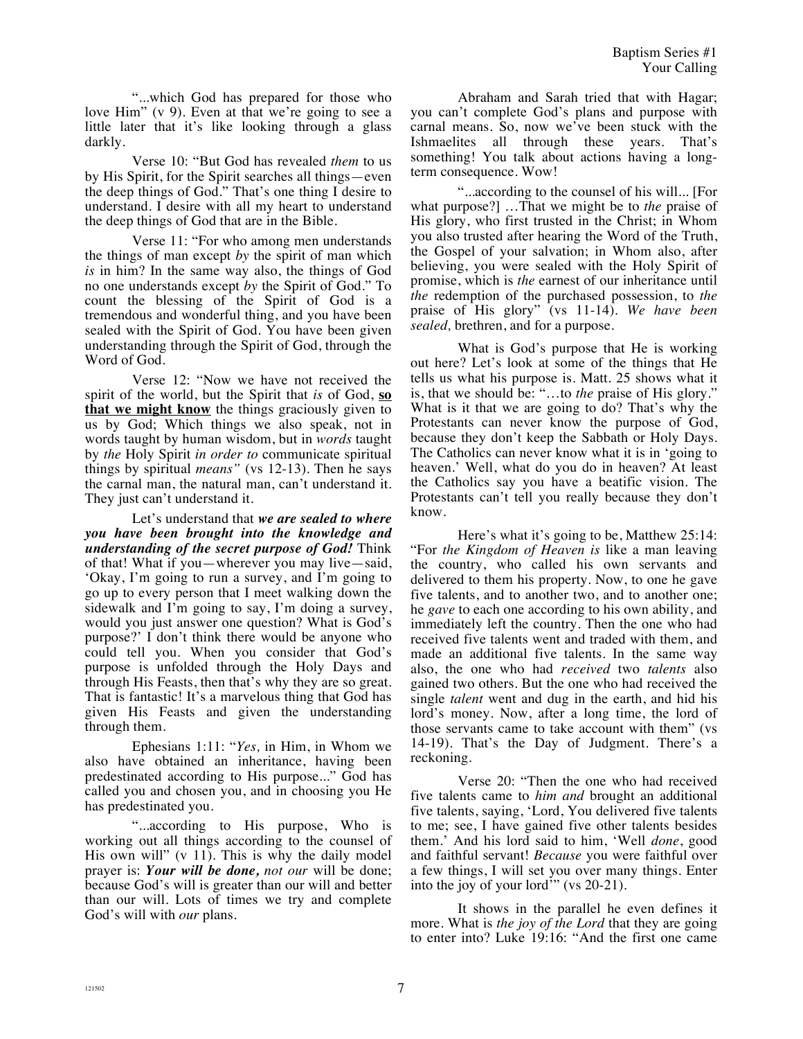"...which God has prepared for those who love Him" (v 9). Even at that we're going to see a little later that it's like looking through a glass darkly.

Verse 10: "But God has revealed *them* to us by His Spirit, for the Spirit searches all things—even the deep things of God." That's one thing I desire to understand. I desire with all my heart to understand the deep things of God that are in the Bible.

Verse 11: "For who among men understands the things of man except *by* the spirit of man which *is* in him? In the same way also, the things of God no one understands except *by* the Spirit of God." To count the blessing of the Spirit of God is a tremendous and wonderful thing, and you have been sealed with the Spirit of God. You have been given understanding through the Spirit of God, through the Word of God.

Verse 12: "Now we have not received the spirit of the world, but the Spirit that *is* of God, **so that we might know** the things graciously given to us by God; Which things we also speak, not in words taught by human wisdom, but in *words* taught by *the* Holy Spirit *in order to* communicate spiritual things by spiritual *means"* (vs 12-13). Then he says the carnal man, the natural man, can't understand it. They just can't understand it.

Let's understand that *we are sealed to where you have been brought into the knowledge and understanding of the secret purpose of God!* Think of that! What if you—wherever you may live—said, 'Okay, I'm going to run a survey, and I'm going to go up to every person that I meet walking down the sidewalk and I'm going to say, I'm doing a survey, would you just answer one question? What is God's purpose?' I don't think there would be anyone who could tell you. When you consider that God's purpose is unfolded through the Holy Days and through His Feasts, then that's why they are so great. That is fantastic! It's a marvelous thing that God has given His Feasts and given the understanding through them.

Ephesians 1:11: "*Yes,* in Him, in Whom we also have obtained an inheritance, having been predestinated according to His purpose..." God has called you and chosen you, and in choosing you He has predestinated you.

"...according to His purpose, Who is working out all things according to the counsel of His own will" (v 11). This is why the daily model prayer is: *Your will be done, not our* will be done; because God's will is greater than our will and better than our will. Lots of times we try and complete God's will with *our* plans.

Abraham and Sarah tried that with Hagar; you can't complete God's plans and purpose with carnal means. So, now we've been stuck with the Ishmaelites all through these years. That's something! You talk about actions having a longterm consequence. Wow!

"...according to the counsel of his will... [For what purpose?] …That we might be to *the* praise of His glory, who first trusted in the Christ; in Whom you also trusted after hearing the Word of the Truth, the Gospel of your salvation; in Whom also, after believing, you were sealed with the Holy Spirit of promise, which is *the* earnest of our inheritance until *the* redemption of the purchased possession, to *the*  praise of His glory" (vs 11-14). *We have been sealed,* brethren, and for a purpose.

What is God's purpose that He is working out here? Let's look at some of the things that He tells us what his purpose is. Matt. 25 shows what it is, that we should be: "…to *the* praise of His glory." What is it that we are going to do? That's why the Protestants can never know the purpose of God, because they don't keep the Sabbath or Holy Days. The Catholics can never know what it is in 'going to heaven.' Well, what do you do in heaven? At least the Catholics say you have a beatific vision. The Protestants can't tell you really because they don't know.

Here's what it's going to be, Matthew 25:14: "For *the Kingdom of Heaven is* like a man leaving the country, who called his own servants and delivered to them his property. Now, to one he gave five talents, and to another two, and to another one; he *gave* to each one according to his own ability, and immediately left the country. Then the one who had received five talents went and traded with them, and made an additional five talents. In the same way also, the one who had *received* two *talents* also gained two others. But the one who had received the single *talent* went and dug in the earth, and hid his lord's money. Now, after a long time, the lord of those servants came to take account with them" (vs 14-19). That's the Day of Judgment. There's a reckoning.

Verse 20: "Then the one who had received five talents came to *him and* brought an additional five talents, saying, 'Lord, You delivered five talents to me; see, I have gained five other talents besides them.' And his lord said to him, 'Well *done*, good and faithful servant! *Because* you were faithful over a few things, I will set you over many things. Enter into the joy of your lord<sup>3</sup> (vs 20-21).

It shows in the parallel he even defines it more. What is *the joy of the Lord* that they are going to enter into? Luke 19:16: "And the first one came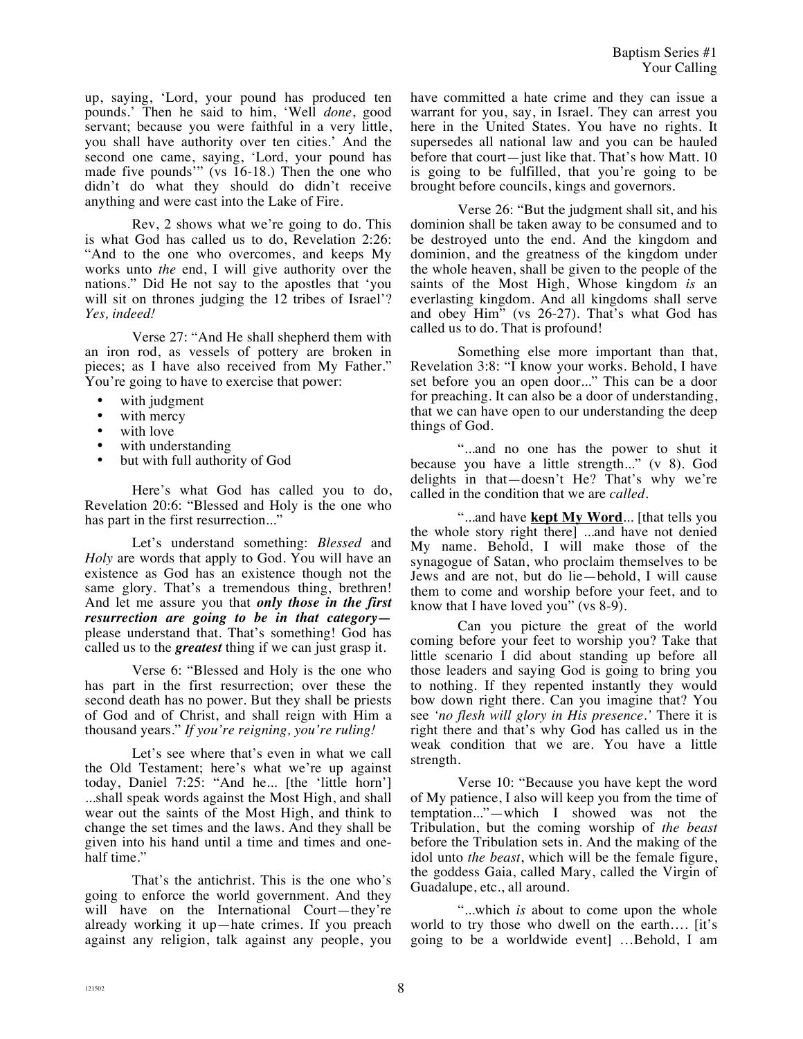up, saying, 'Lord, your pound has produced ten pounds.' Then he said to him, 'Well *done*, good servant; because you were faithful in a very little, you shall have authority over ten cities.' And the second one came, saying, 'Lord, your pound has made five pounds'" (vs 16-18.) Then the one who didn't do what they should do didn't receive anything and were cast into the Lake of Fire.

Rev, 2 shows what we're going to do. This is what God has called us to do, Revelation 2:26: "And to the one who overcomes, and keeps My works unto *the* end, I will give authority over the nations." Did He not say to the apostles that 'you will sit on thrones judging the 12 tribes of Israel'? *Yes, indeed!*

Verse 27: "And He shall shepherd them with an iron rod, as vessels of pottery are broken in pieces; as I have also received from My Father." You're going to have to exercise that power:

- with judgment
- with mercy<br>• with love
- with love
- with understanding
- but with full authority of God

Here's what God has called you to do, Revelation 20:6: "Blessed and Holy is the one who has part in the first resurrection..."

Let's understand something: *Blessed* and *Holy* are words that apply to God. You will have an existence as God has an existence though not the same glory. That's a tremendous thing, brethren! And let me assure you that *only those in the first resurrection are going to be in that category* please understand that. That's something! God has called us to the *greatest* thing if we can just grasp it.

Verse 6: "Blessed and Holy is the one who has part in the first resurrection; over these the second death has no power. But they shall be priests of God and of Christ, and shall reign with Him a thousand years." *If you're reigning, you're ruling!*

Let's see where that's even in what we call the Old Testament; here's what we're up against today, Daniel 7:25: "And he... [the 'little horn'] ...shall speak words against the Most High, and shall wear out the saints of the Most High, and think to change the set times and the laws. And they shall be given into his hand until a time and times and onehalf time."

That's the antichrist. This is the one who's going to enforce the world government. And they will have on the International Court—they're already working it up—hate crimes. If you preach against any religion, talk against any people, you have committed a hate crime and they can issue a warrant for you, say, in Israel. They can arrest you here in the United States. You have no rights. It supersedes all national law and you can be hauled before that court—just like that. That's how Matt. 10 is going to be fulfilled, that you're going to be brought before councils, kings and governors.

Verse 26: "But the judgment shall sit, and his dominion shall be taken away to be consumed and to be destroyed unto the end. And the kingdom and dominion, and the greatness of the kingdom under the whole heaven, shall be given to the people of the saints of the Most High, Whose kingdom *is* an everlasting kingdom. And all kingdoms shall serve and obey Him" (vs 26-27). That's what God has called us to do. That is profound!

Something else more important than that, Revelation 3:8: "I know your works. Behold, I have set before you an open door..." This can be a door for preaching. It can also be a door of understanding, that we can have open to our understanding the deep things of God.

"...and no one has the power to shut it because you have a little strength..." (v 8). God delights in that—doesn't He? That's why we're called in the condition that we are *called*.

"...and have **kept My Word**... [that tells you the whole story right there] ...and have not denied My name. Behold, I will make those of the synagogue of Satan, who proclaim themselves to be Jews and are not, but do lie—behold, I will cause them to come and worship before your feet, and to know that I have loved you" (vs 8-9).

Can you picture the great of the world coming before your feet to worship you? Take that little scenario I did about standing up before all those leaders and saying God is going to bring you to nothing. If they repented instantly they would bow down right there. Can you imagine that? You see *'no flesh will glory in His presence.'* There it is right there and that's why God has called us in the weak condition that we are. You have a little strength.

Verse 10: "Because you have kept the word of My patience, I also will keep you from the time of temptation..."—which I showed was not the Tribulation, but the coming worship of *the beast* before the Tribulation sets in. And the making of the idol unto *the beast*, which will be the female figure, the goddess Gaia, called Mary, called the Virgin of Guadalupe, etc., all around.

"...which *is* about to come upon the whole world to try those who dwell on the earth…. [it's going to be a worldwide event] …Behold, I am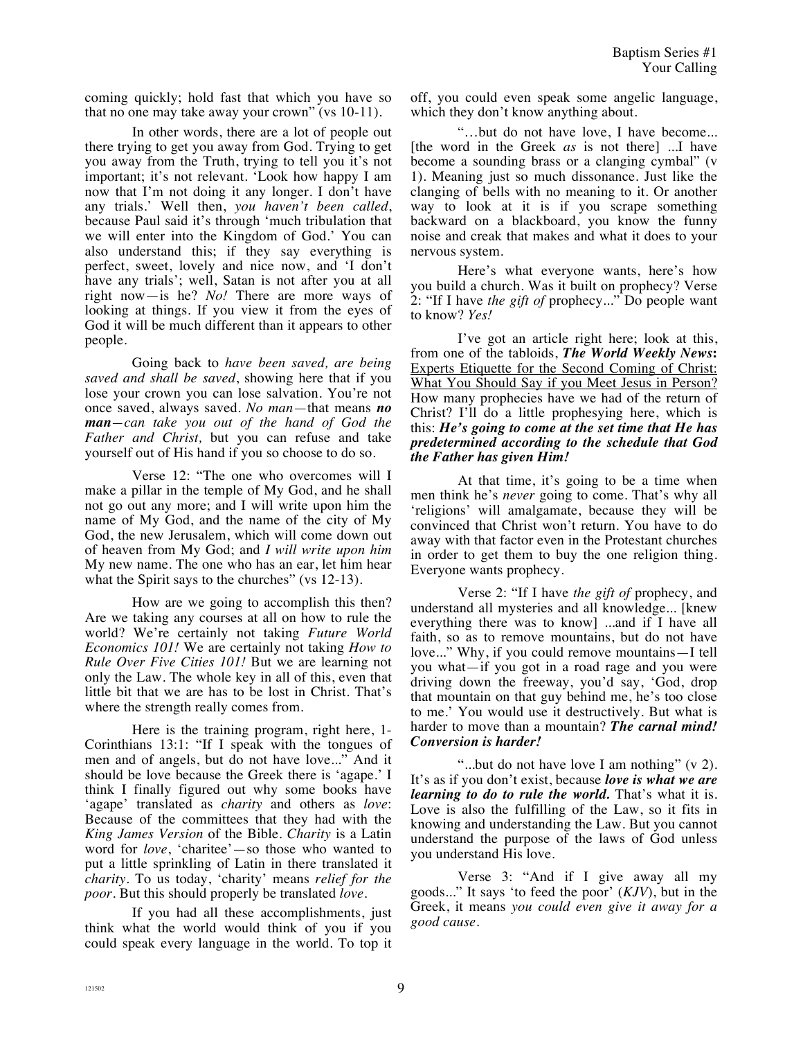coming quickly; hold fast that which you have so that no one may take away your crown" (vs 10-11).

In other words, there are a lot of people out there trying to get you away from God. Trying to get you away from the Truth, trying to tell you it's not important; it's not relevant. 'Look how happy I am now that I'm not doing it any longer. I don't have any trials.' Well then, *you haven't been called*, because Paul said it's through 'much tribulation that we will enter into the Kingdom of God.' You can also understand this; if they say everything is perfect, sweet, lovely and nice now, and 'I don't have any trials'; well, Satan is not after you at all right now—is he? *No!* There are more ways of looking at things. If you view it from the eyes of God it will be much different than it appears to other people.

Going back to *have been saved, are being saved and shall be saved*, showing here that if you lose your crown you can lose salvation. You're not once saved, always saved. *No man*—that means *no man—can take you out of the hand of God the Father and Christ,* but you can refuse and take yourself out of His hand if you so choose to do so.

Verse 12: "The one who overcomes will I make a pillar in the temple of My God, and he shall not go out any more; and I will write upon him the name of My God, and the name of the city of My God, the new Jerusalem, which will come down out of heaven from My God; and *I will write upon him*  My new name. The one who has an ear, let him hear what the Spirit says to the churches" (vs 12-13).

How are we going to accomplish this then? Are we taking any courses at all on how to rule the world? We're certainly not taking *Future World Economics 101!* We are certainly not taking *How to Rule Over Five Cities 101!* But we are learning not only the Law. The whole key in all of this, even that little bit that we are has to be lost in Christ. That's where the strength really comes from.

Here is the training program, right here, 1- Corinthians 13:1: "If I speak with the tongues of men and of angels, but do not have love..." And it should be love because the Greek there is 'agape.' I think I finally figured out why some books have 'agape' translated as *charity* and others as *love*: Because of the committees that they had with the *King James Version* of the Bible. *Charity* is a Latin word for *love*, 'charitee'—so those who wanted to put a little sprinkling of Latin in there translated it *charity*. To us today, 'charity' means *relief for the poor.* But this should properly be translated *love*.

If you had all these accomplishments, just think what the world would think of you if you could speak every language in the world. To top it off, you could even speak some angelic language, which they don't know anything about.

"…but do not have love, I have become... [the word in the Greek *as* is not there] ...I have become a sounding brass or a clanging cymbal" (v 1). Meaning just so much dissonance. Just like the clanging of bells with no meaning to it. Or another way to look at it is if you scrape something backward on a blackboard, you know the funny noise and creak that makes and what it does to your nervous system.

Here's what everyone wants, here's how you build a church. Was it built on prophecy? Verse 2: "If I have *the gift of* prophecy..." Do people want to know? *Yes!*

I've got an article right here; look at this, from one of the tabloids, *The World Weekly News***:** Experts Etiquette for the Second Coming of Christ: What You Should Say if you Meet Jesus in Person? How many prophecies have we had of the return of Christ? I'll do a little prophesying here, which is this: *He's going to come at the set time that He has predetermined according to the schedule that God the Father has given Him!*

At that time, it's going to be a time when men think he's *never* going to come. That's why all 'religions' will amalgamate, because they will be convinced that Christ won't return. You have to do away with that factor even in the Protestant churches in order to get them to buy the one religion thing. Everyone wants prophecy.

Verse 2: "If I have *the gift of* prophecy, and understand all mysteries and all knowledge... [knew everything there was to know] ...and if I have all faith, so as to remove mountains, but do not have love..." Why, if you could remove mountains—I tell you what—if you got in a road rage and you were driving down the freeway, you'd say, 'God, drop that mountain on that guy behind me, he's too close to me.' You would use it destructively. But what is harder to move than a mountain? *The carnal mind! Conversion is harder!*

"...but do not have love I am nothing" (v 2). It's as if you don't exist, because *love is what we are learning to do to rule the world.* That's what it is. Love is also the fulfilling of the Law, so it fits in knowing and understanding the Law. But you cannot understand the purpose of the laws of God unless you understand His love.

Verse 3: "And if I give away all my goods..." It says 'to feed the poor' (*KJV*), but in the Greek, it means *you could even give it away for a good cause.*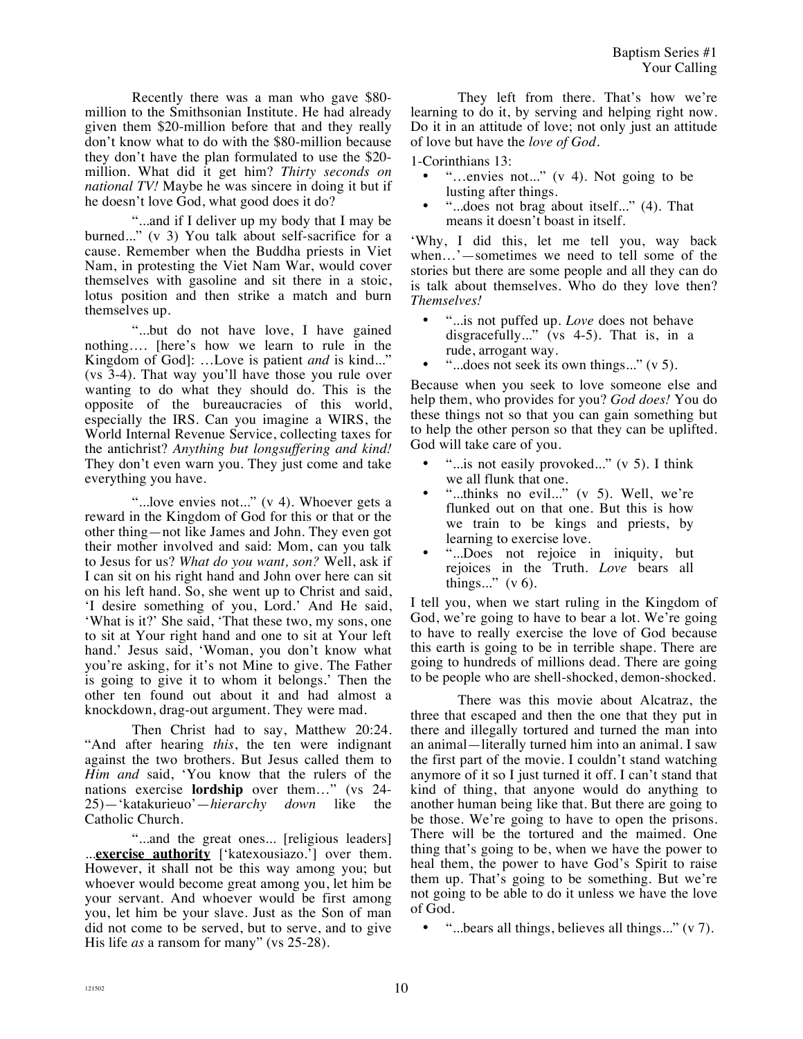Recently there was a man who gave \$80 million to the Smithsonian Institute. He had already given them \$20-million before that and they really don't know what to do with the \$80-million because they don't have the plan formulated to use the \$20 million. What did it get him? *Thirty seconds on national TV!* Maybe he was sincere in doing it but if he doesn't love God, what good does it do?

"...and if I deliver up my body that I may be burned..." (v 3) You talk about self-sacrifice for a cause. Remember when the Buddha priests in Viet Nam, in protesting the Viet Nam War, would cover themselves with gasoline and sit there in a stoic, lotus position and then strike a match and burn themselves up.

"...but do not have love, I have gained nothing…. [here's how we learn to rule in the Kingdom of God]: …Love is patient *and* is kind..." (vs 3-4). That way you'll have those you rule over wanting to do what they should do. This is the opposite of the bureaucracies of this world, especially the IRS. Can you imagine a WIRS, the World Internal Revenue Service, collecting taxes for the antichrist? *Anything but longsuffering and kind!*  They don't even warn you. They just come and take everything you have.

"...love envies not..." (v 4). Whoever gets a reward in the Kingdom of God for this or that or the other thing—not like James and John. They even got their mother involved and said: Mom, can you talk to Jesus for us? *What do you want, son?* Well, ask if I can sit on his right hand and John over here can sit on his left hand. So, she went up to Christ and said, 'I desire something of you, Lord.' And He said, 'What is it?' She said, 'That these two, my sons, one to sit at Your right hand and one to sit at Your left hand.' Jesus said, 'Woman, you don't know what you're asking, for it's not Mine to give. The Father is going to give it to whom it belongs.' Then the other ten found out about it and had almost a knockdown, drag-out argument. They were mad.

Then Christ had to say, Matthew 20:24. "And after hearing *this*, the ten were indignant against the two brothers. But Jesus called them to *Him and* said, 'You know that the rulers of the nations exercise **lordship** over them…" (vs 24- 25)—'katakurieuo'—*hierarchy down* like the Catholic Church.

"...and the great ones... [religious leaders] ...**exercise authority** ['katexousiazo.'] over them. However, it shall not be this way among you; but whoever would become great among you, let him be your servant. And whoever would be first among you, let him be your slave. Just as the Son of man did not come to be served, but to serve, and to give His life *as* a ransom for many" (vs 25-28).

They left from there. That's how we're learning to do it, by serving and helping right now. Do it in an attitude of love; not only just an attitude of love but have the *love of God.*

1-Corinthians 13:

- "…envies not..." (v 4). Not going to be lusting after things.
- "...does not brag about itself..." (4). That means it doesn't boast in itself.

'Why, I did this, let me tell you, way back when…'—sometimes we need to tell some of the stories but there are some people and all they can do is talk about themselves. Who do they love then? *Themselves!*

- "...is not puffed up. *Love* does not behave disgracefully..." (vs 4-5). That is, in a rude, arrogant way.
- "...does not seek its own things..." (v 5).

Because when you seek to love someone else and help them, who provides for you? *God does!* You do these things not so that you can gain something but to help the other person so that they can be uplifted. God will take care of you.

- "...is not easily provoked..." (v 5). I think we all flunk that one.
- "...thinks no evil..." (v 5). Well, we're flunked out on that one. But this is how we train to be kings and priests, by learning to exercise love.
- "...Does not rejoice in iniquity, but rejoices in the Truth. *Love* bears all things..."  $(v 6)$ .

I tell you, when we start ruling in the Kingdom of God, we're going to have to bear a lot. We're going to have to really exercise the love of God because this earth is going to be in terrible shape. There are going to hundreds of millions dead. There are going to be people who are shell-shocked, demon-shocked.

There was this movie about Alcatraz, the three that escaped and then the one that they put in there and illegally tortured and turned the man into an animal—literally turned him into an animal. I saw the first part of the movie. I couldn't stand watching anymore of it so I just turned it off. I can't stand that kind of thing, that anyone would do anything to another human being like that. But there are going to be those. We're going to have to open the prisons. There will be the tortured and the maimed. One thing that's going to be, when we have the power to heal them, the power to have God's Spirit to raise them up. That's going to be something. But we're not going to be able to do it unless we have the love of God.

• "...bears all things, believes all things..." (v 7).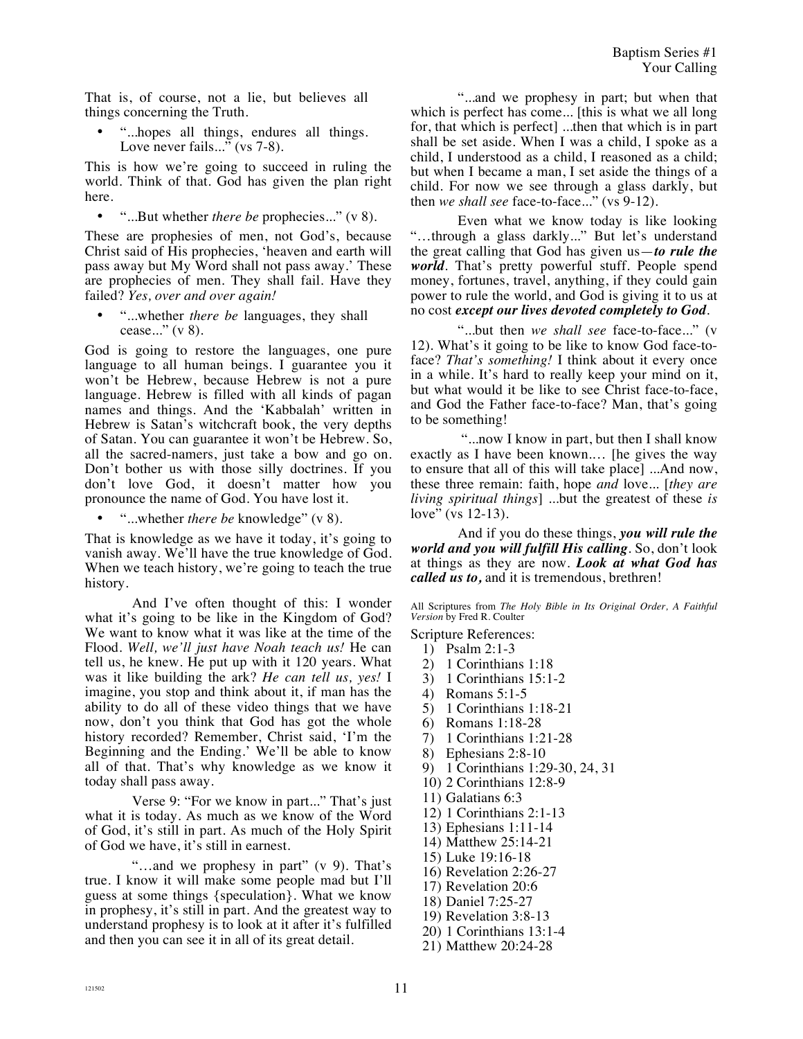That is, of course, not a lie, but believes all things concerning the Truth.

• "...hopes all things, endures all things. Love never fails..." (vs 7-8).

This is how we're going to succeed in ruling the world. Think of that. God has given the plan right here.

• "...But whether *there be* prophecies..." (v 8).

These are prophesies of men, not God's, because Christ said of His prophecies, 'heaven and earth will pass away but My Word shall not pass away.' These are prophecies of men. They shall fail. Have they failed? *Yes, over and over again!*

• "...whether *there be* languages, they shall cease..." (v 8).

God is going to restore the languages, one pure language to all human beings. I guarantee you it won't be Hebrew, because Hebrew is not a pure language. Hebrew is filled with all kinds of pagan names and things. And the 'Kabbalah' written in Hebrew is Satan's witchcraft book, the very depths of Satan. You can guarantee it won't be Hebrew. So, all the sacred-namers, just take a bow and go on. Don't bother us with those silly doctrines. If you don't love God, it doesn't matter how you pronounce the name of God. You have lost it.

• "...whether *there be* knowledge" (v 8).

That is knowledge as we have it today, it's going to vanish away. We'll have the true knowledge of God. When we teach history, we're going to teach the true history.

And I've often thought of this: I wonder what it's going to be like in the Kingdom of God? We want to know what it was like at the time of the Flood. *Well, we'll just have Noah teach us!* He can tell us, he knew. He put up with it 120 years. What was it like building the ark? *He can tell us, yes!* I imagine, you stop and think about it, if man has the ability to do all of these video things that we have now, don't you think that God has got the whole history recorded? Remember, Christ said, 'I'm the Beginning and the Ending.' We'll be able to know all of that. That's why knowledge as we know it today shall pass away.

Verse 9: "For we know in part..." That's just what it is today. As much as we know of the Word of God, it's still in part. As much of the Holy Spirit of God we have, it's still in earnest.

"…and we prophesy in part" (v 9). That's true. I know it will make some people mad but I'll guess at some things {speculation}. What we know in prophesy, it's still in part. And the greatest way to understand prophesy is to look at it after it's fulfilled and then you can see it in all of its great detail.

"...and we prophesy in part; but when that which is perfect has come... [this is what we all long for, that which is perfect] ...then that which is in part shall be set aside. When I was a child, I spoke as a child, I understood as a child, I reasoned as a child; but when I became a man, I set aside the things of a child. For now we see through a glass darkly, but then *we shall see* face-to-face..." (vs 9-12).

Even what we know today is like looking "…through a glass darkly..." But let's understand the great calling that God has given us—*to rule the world*. That's pretty powerful stuff. People spend money, fortunes, travel, anything, if they could gain power to rule the world, and God is giving it to us at no cost *except our lives devoted completely to God*.

"...but then *we shall see* face-to-face..." (v 12). What's it going to be like to know God face-toface? *That's something!* I think about it every once in a while. It's hard to really keep your mind on it, but what would it be like to see Christ face-to-face, and God the Father face-to-face? Man, that's going to be something!

 "...now I know in part, but then I shall know exactly as I have been known.… [he gives the way to ensure that all of this will take place] ...And now, these three remain: faith, hope *and* love... [*they are living spiritual things*] ...but the greatest of these *is*  love" (vs 12-13).

And if you do these things, *you will rule the world and you will fulfill His calling*. So, don't look at things as they are now. *Look at what God has called us to,* and it is tremendous, brethren!

All Scriptures from *The Holy Bible in Its Original Order, A Faithful Version* by Fred R. Coulter

Scripture References:

- 1) Psalm 2:1-3
- 2) 1 Corinthians 1:18
- 3) 1 Corinthians 15:1-2
- 4) Romans 5:1-5
- 5) 1 Corinthians 1:18-21
- 6) Romans 1:18-28
- 7) 1 Corinthians 1:21-28
- 8) Ephesians 2:8-10
- 9) 1 Corinthians 1:29-30, 24, 31
- 10) 2 Corinthians 12:8-9
- 11) Galatians 6:3
- 12) 1 Corinthians 2:1-13
- 13) Ephesians 1:11-14
- 14) Matthew 25:14-21
- 15) Luke 19:16-18
- 16) Revelation 2:26-27
- 17) Revelation 20:6
- 18) Daniel 7:25-27
- 19) Revelation 3:8-13
- 20) 1 Corinthians 13:1-4
- 21) Matthew 20:24-28